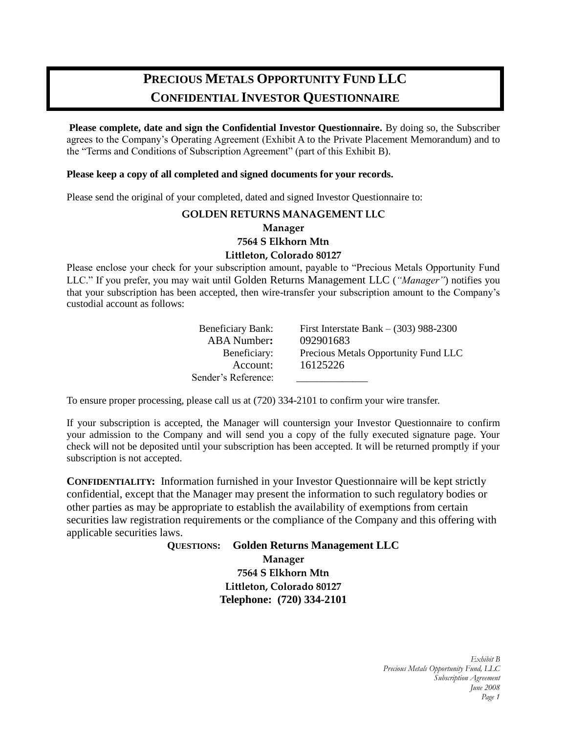# **PRECIOUS METALS OPPORTUNITY FUND LLC CONFIDENTIAL INVESTOR QUESTIONNAIRE**

**Please complete, date and sign the Confidential Investor Questionnaire.** By doing so, the Subscriber agrees to the Company's Operating Agreement (Exhibit A to the Private Placement Memorandum) and to the "Terms and Conditions of Subscription Agreement" (part of this Exhibit B).

#### **Please keep a copy of all completed and signed documents for your records.**

Please send the original of your completed, dated and signed Investor Questionnaire to:

## **GOLDEN RETURNS MANAGEMENT LLC Manager 7564 S Elkhorn Mtn Littleton, Colorado 80127**

Please enclose your check for your subscription amount, payable to "Precious Metals Opportunity Fund LLC." If you prefer, you may wait until Golden Returns Management LLC (*"Manager"*) notifies you that your subscription has been accepted, then wire-transfer your subscription amount to the Company's custodial account as follows:

| <b>Beneficiary Bank:</b> | First Interstate Bank $-$ (303) 988-2300 |
|--------------------------|------------------------------------------|
| <b>ABA</b> Number:       | 092901683                                |
| Beneficiary:             | Precious Metals Opportunity Fund LLC     |
| Account:                 | 16125226                                 |
| Sender's Reference:      |                                          |

To ensure proper processing, please call us at (720) 334-2101 to confirm your wire transfer.

If your subscription is accepted, the Manager will countersign your Investor Questionnaire to confirm your admission to the Company and will send you a copy of the fully executed signature page. Your check will not be deposited until your subscription has been accepted. It will be returned promptly if your subscription is not accepted.

**CONFIDENTIALITY:** Information furnished in your Investor Questionnaire will be kept strictly confidential, except that the Manager may present the information to such regulatory bodies or other parties as may be appropriate to establish the availability of exemptions from certain securities law registration requirements or the compliance of the Company and this offering with applicable securities laws.

> **QUESTIONS: Golden Returns Management LLC Manager 7564 S Elkhorn Mtn Littleton, Colorado 80127 Telephone: (720) 334-2101**

> > {00527449 / 6}{00527449 *Exhibit B Precious Metals Opportunity Fund, LLC Subscription Agreement June 2008 Page 1*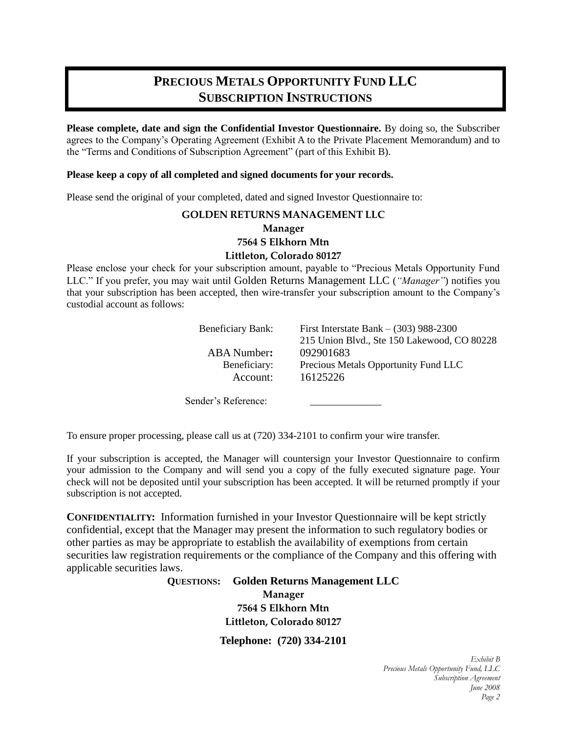# **PRECIOUS METALS OPPORTUNITY FUND LLC SUBSCRIPTION INSTRUCTIONS**

**Please complete, date and sign the Confidential Investor Questionnaire.** By doing so, the Subscriber agrees to the Company's Operating Agreement (Exhibit A to the Private Placement Memorandum) and to the "Terms and Conditions of Subscription Agreement" (part of this Exhibit B).

#### **Please keep a copy of all completed and signed documents for your records.**

Please send the original of your completed, dated and signed Investor Questionnaire to:

# **GOLDEN RETURNS MANAGEMENT LLC**

**Manager 7564 S Elkhorn Mtn Littleton, Colorado 80127**

Please enclose your check for your subscription amount, payable to "Precious Metals Opportunity Fund LLC." If you prefer, you may wait until Golden Returns Management LLC (*"Manager"*) notifies you that your subscription has been accepted, then wire-transfer your subscription amount to the Company's custodial account as follows:

| <b>Beneficiary Bank:</b> | First Interstate Bank $-$ (303) 988-2300<br>215 Union Blvd., Ste 150 Lakewood, CO 80228 |
|--------------------------|-----------------------------------------------------------------------------------------|
| <b>ABA</b> Number:       | 092901683                                                                               |
| Beneficiary:             | Precious Metals Opportunity Fund LLC                                                    |
| Account:                 | 16125226                                                                                |

To ensure proper processing, please call us at (720) 334-2101 to confirm your wire transfer.

Sender's Reference:

subscription is not accepted.

If your subscription is accepted, the Manager will countersign your Investor Questionnaire to confirm your admission to the Company and will send you a copy of the fully executed signature page. Your check will not be deposited until your subscription has been accepted. It will be returned promptly if your

**CONFIDENTIALITY:** Information furnished in your Investor Questionnaire will be kept strictly confidential, except that the Manager may present the information to such regulatory bodies or other parties as may be appropriate to establish the availability of exemptions from certain securities law registration requirements or the compliance of the Company and this offering with applicable securities laws.

> **QUESTIONS: Golden Returns Management LLC Manager 7564 S Elkhorn Mtn Littleton, Colorado 80127**

**Telephone: (720) 334-2101**

{00527449 / 6}{00527449 *Exhibit B Precious Metals Opportunity Fund, LLC Subscription Agreement June 2008 Page 2*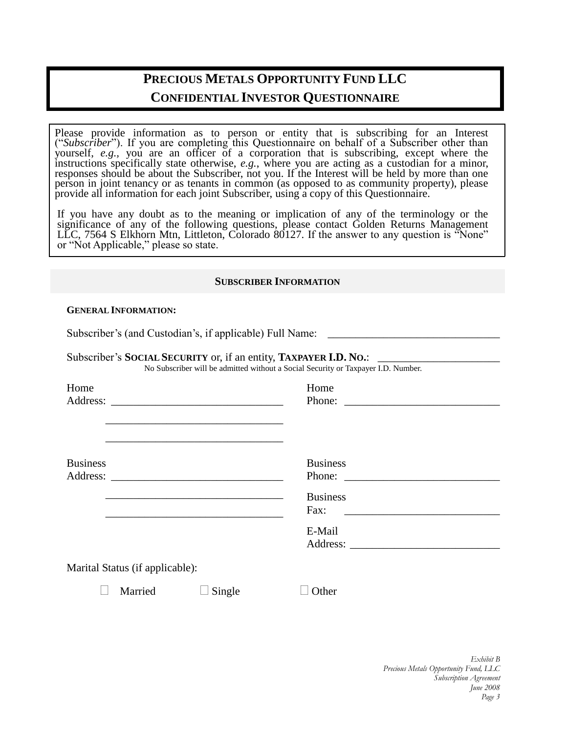# **PRECIOUS METALS OPPORTUNITY FUND LLC CONFIDENTIAL INVESTOR QUESTIONNAIRE**

Please provide information as to person or entity that is subscribing for an Interest ("*Subscriber*"). If you are completing this Questionnaire on behalf of a Subscriber other than yourself, *e.g.,* you are an officer of a corporation that is subscribing, except where the instructions specifically state otherwise, *e.g.*, where you are acting as a custodian for a minor, responses should be about the Subscriber, not you. If the Interest will be held by more than one person in joint tenancy or as tenants in common (as opposed to as community property), please provide all information for each joint Subscriber, using a copy of this Questionnaire.

If you have any doubt as to the meaning or implication of any of the terminology or the significance of any of the following questions, please contact Golden Returns Management LLC, 7564 S Elkhorn Mtn, Littleton, Colorado 80127. If the answer to any question is "None" or "Not Applicable," please so state.

#### **SUBSCRIBER INFORMATION**

#### **GENERAL INFORMATION:**

Subscriber's (and Custodian's, if applicable) Full Name: Subscriber's **SOCIAL SECURITY** or, if an entity, **TAXPAYER I.D. NO.**: \_\_\_\_\_\_\_\_\_\_\_\_\_\_\_\_\_\_\_\_\_\_ No Subscriber will be admitted without a Social Security or Taxpayer I.D. Number. Home Address: Home Phone: \_\_\_\_\_\_\_\_\_\_\_\_\_\_\_\_\_\_\_\_\_\_\_\_\_\_\_\_

**Business** 

Address: \_\_\_\_\_\_\_\_\_\_\_\_\_\_\_\_\_\_\_\_\_\_\_\_\_\_\_\_\_\_\_

Phone: \_\_\_\_\_\_\_\_\_\_\_\_\_\_\_\_\_\_\_\_\_\_\_\_\_\_\_\_

**Business** 

Business  $Fax:$ 

E-Mail

Marital Status (if applicable):

 $\Box$  Married  $\Box$  Single  $\Box$  Other

\_\_\_\_\_\_\_\_\_\_\_\_\_\_\_\_\_\_\_\_\_\_\_\_\_\_\_\_\_\_\_\_ \_\_\_\_\_\_\_\_\_\_\_\_\_\_\_\_\_\_\_\_\_\_\_\_\_\_\_\_\_\_\_\_

\_\_\_\_\_\_\_\_\_\_\_\_\_\_\_\_\_\_\_\_\_\_\_\_\_\_\_\_\_\_\_\_ \_\_\_\_\_\_\_\_\_\_\_\_\_\_\_\_\_\_\_\_\_\_\_\_\_\_\_\_\_\_\_\_

Address: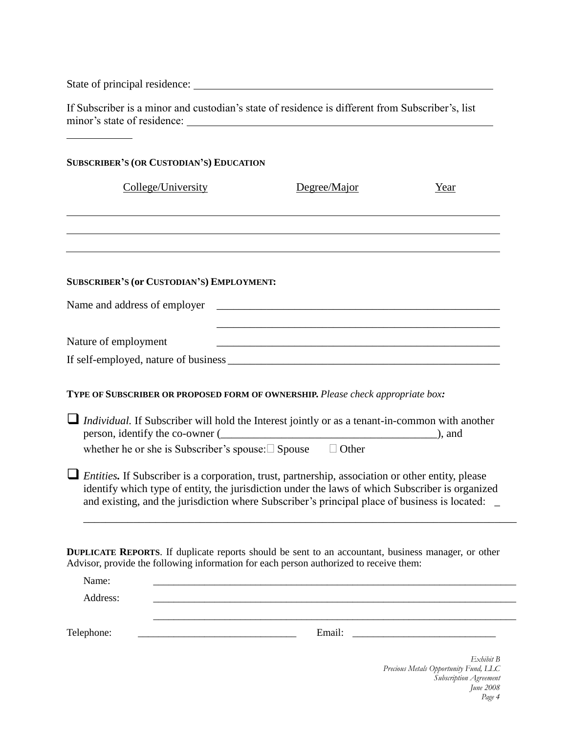State of principal residence:

If Subscriber is a minor and custodian's state of residence is different from Subscriber's, list minor's state of residence:

|                              | <b>SUBSCRIBER'S (OR CUSTODIAN'S) EDUCATION</b>     |                                                                                                                                                                                                                                                                                                                |                 |
|------------------------------|----------------------------------------------------|----------------------------------------------------------------------------------------------------------------------------------------------------------------------------------------------------------------------------------------------------------------------------------------------------------------|-----------------|
|                              | College/University                                 | Degree/Major                                                                                                                                                                                                                                                                                                   | Year            |
|                              |                                                    |                                                                                                                                                                                                                                                                                                                |                 |
|                              |                                                    |                                                                                                                                                                                                                                                                                                                |                 |
|                              | <b>SUBSCRIBER'S (or CUSTODIAN'S) EMPLOYMENT:</b>   |                                                                                                                                                                                                                                                                                                                |                 |
| Name and address of employer |                                                    |                                                                                                                                                                                                                                                                                                                |                 |
| Nature of employment         |                                                    |                                                                                                                                                                                                                                                                                                                |                 |
|                              |                                                    |                                                                                                                                                                                                                                                                                                                |                 |
|                              |                                                    | TYPE OF SUBSCRIBER OR PROPOSED FORM OF OWNERSHIP. Please check appropriate box:                                                                                                                                                                                                                                |                 |
|                              |                                                    | <i>Individual</i> . If Subscriber will hold the Interest jointly or as a tenant-in-common with another                                                                                                                                                                                                         | $\lambda$ , and |
|                              |                                                    | whether he or she is Subscriber's spouse: $\Box$ Spouse $\Box$ Other                                                                                                                                                                                                                                           |                 |
|                              |                                                    | $\Box$ Entities. If Subscriber is a corporation, trust, partnership, association or other entity, please<br>identify which type of entity, the jurisdiction under the laws of which Subscriber is organized<br>and existing, and the jurisdiction where Subscriber's principal place of business is located: _ |                 |
| Name:                        |                                                    | DUPLICATE REPORTS. If duplicate reports should be sent to an accountant, business manager, or other<br>Advisor, provide the following information for each person authorized to receive them:                                                                                                                  |                 |
| Address:                     |                                                    |                                                                                                                                                                                                                                                                                                                |                 |
| Telephone:                   | <u> 1989 - Johann Barn, amerikansk politiker (</u> | Email:                                                                                                                                                                                                                                                                                                         |                 |
|                              |                                                    |                                                                                                                                                                                                                                                                                                                |                 |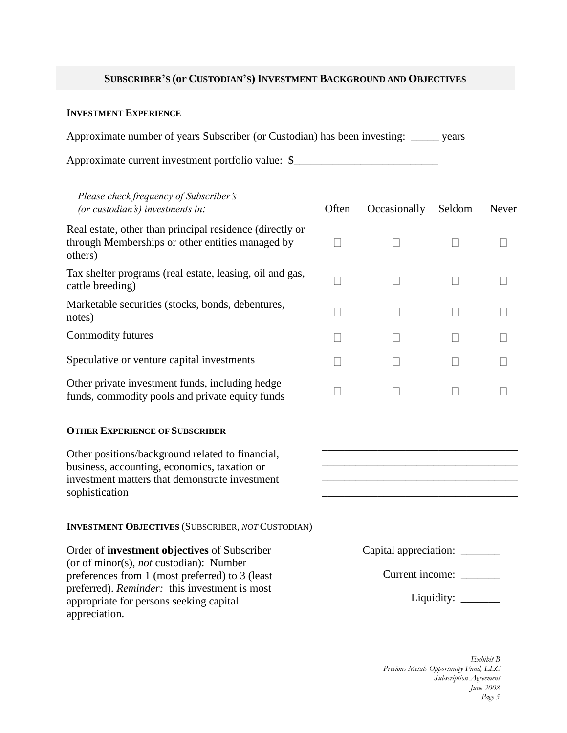## **SUBSCRIBER'S (or CUSTODIAN'S) INVESTMENT BACKGROUND AND OBJECTIVES**

### **INVESTMENT EXPERIENCE**

| Approximate number of years Subscriber (or Custodian) has been investing: |  | vears |
|---------------------------------------------------------------------------|--|-------|
| Approximate current investment portfolio value: \$                        |  |       |

| Please check frequency of Subscriber's<br>(or custodian's) investments in:                                                                                           | Often  | Occasionally | Seldom | <b>Never</b> |
|----------------------------------------------------------------------------------------------------------------------------------------------------------------------|--------|--------------|--------|--------------|
| Real estate, other than principal residence (directly or<br>through Memberships or other entities managed by<br>others)                                              | П      |              |        |              |
| Tax shelter programs (real estate, leasing, oil and gas,<br>cattle breeding)                                                                                         |        |              |        |              |
| Marketable securities (stocks, bonds, debentures,<br>notes)                                                                                                          | П      |              |        |              |
| Commodity futures                                                                                                                                                    | П      |              |        |              |
| Speculative or venture capital investments                                                                                                                           |        |              |        |              |
| Other private investment funds, including hedge<br>funds, commodity pools and private equity funds                                                                   | $\Box$ |              |        |              |
| <b>OTHER EXPERIENCE OF SUBSCRIBER</b>                                                                                                                                |        |              |        |              |
| Other positions/background related to financial,<br>business, accounting, economics, taxation or<br>investment matters that demonstrate investment<br>sophistication |        |              |        |              |
| <b>INVESTMENT OBJECTIVES (SUBSCRIBER, NOT CUSTODIAN)</b>                                                                                                             |        |              |        |              |

Order of **investment objectives** of Subscriber (or of minor(s), *not* custodian): Number preferences from 1 (most preferred) to 3 (least preferred). *Reminder:* this investment is most appropriate for persons seeking capital appreciation.

Capital appreciation: \_\_\_\_\_\_\_\_

Current income: \_\_\_\_\_\_\_

Liquidity: \_\_\_\_\_\_\_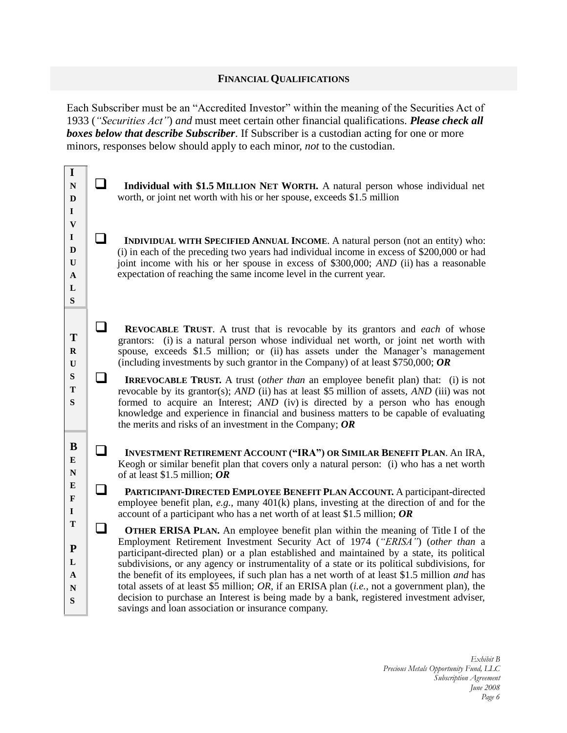## **FINANCIAL QUALIFICATIONS**

Each Subscriber must be an "Accredited Investor" within the meaning of the Securities Act of 1933 (*"Securities Act"*) *and* must meet certain other financial qualifications. *Please check all boxes below that describe Subscriber*. If Subscriber is a custodian acting for one or more minors, responses below should apply to each minor, *not* to the custodian.

**I N D I V I D U A L S Individual with \$1.5 <sup>M</sup>ILLION NET WORTH.** A natural person whose individual net worth, or joint net worth with his or her spouse, exceeds \$1.5 million **INDIVIDUAL WITH SPECIFIED ANNUAL <b>INCOME**. A natural person (not an entity) who: (i) in each of the preceding two years had individual income in excess of \$200,000 or had joint income with his or her spouse in excess of \$300,000; *AND* (ii) has a reasonable expectation of reaching the same income level in the current year. **T R U S T S <sup>R</sup>EVOCABLE TRUST**. A trust that is revocable by its grantors and *each* of whose grantors: (i) is a natural person whose individual net worth, or joint net worth with spouse, exceeds \$1.5 million; or (ii) has assets under the Manager's management (including investments by such grantor in the Company) of at least \$750,000; *OR* **<sup>I</sup>RREVOCABLE TRUST.** A trust (*other than* an employee benefit plan) that: (i) is not revocable by its grantor(s); *AND* (ii) has at least \$5 million of assets, *AND* (iii) was not formed to acquire an Interest; *AND* (iv) is directed by a person who has enough knowledge and experience in financial and business matters to be capable of evaluating the merits and risks of an investment in the Company; *OR* **B E N E F I T P L A N S <sup>I</sup>NVESTMENT RETIREMENT ACCOUNT ("IRA") OR SIMILAR BENEFIT PLAN**. An IRA, Keogh or similar benefit plan that covers only a natural person: (i) who has a net worth of at least \$1.5 million; *OR* **<sup>P</sup>ARTICIPANT-DIRECTED EMPLOYEE BENEFIT PLAN ACCOUNT.** A participant-directed employee benefit plan, *e.g.*, many 401(k) plans, investing at the direction of and for the account of a participant who has a net worth of at least \$1.5 million; *OR* **OTHER ERISA PLAN.** An employee benefit plan within the meaning of Title I of the Employment Retirement Investment Security Act of 1974 (*"ERISA"*) (*other than* a participant-directed plan) or a plan established and maintained by a state, its political subdivisions, or any agency or instrumentality of a state or its political subdivisions, for the benefit of its employees, if such plan has a net worth of at least \$1.5 million *and* has total assets of at least \$5 million; *OR,* if an ERISA plan (*i.e.*, not a government plan), the decision to purchase an Interest is being made by a bank, registered investment adviser, savings and loan association or insurance company.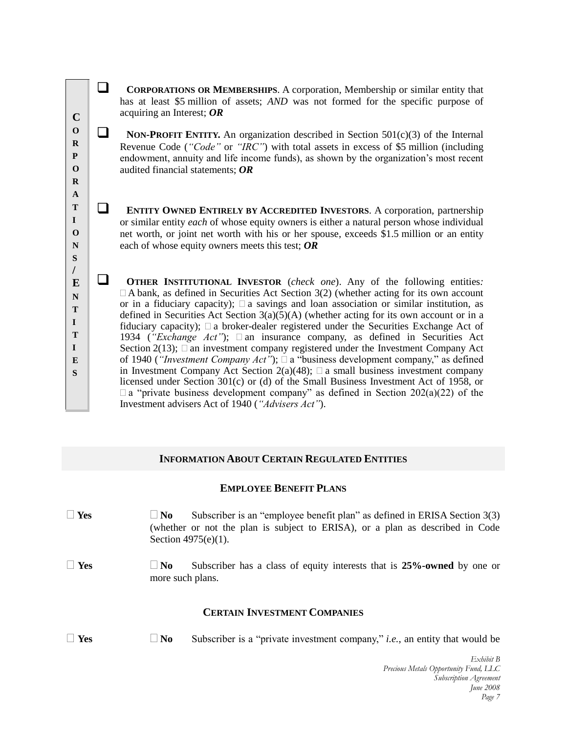**CORPORATIONS OR MEMBERSHIPS.** A corporation, Membership or similar entity that has at least \$5 million of assets; *AND* was not formed for the specific purpose of acquiring an Interest; *OR*

**C O R P O R A T I O N S / E N T I T I E S**

**NON-PROFIT ENTITY.** An organization described in Section  $501(c)(3)$  of the Internal Revenue Code (*"Code"* or *"IRC"*) with total assets in excess of \$5 million (including endowment, annuity and life income funds), as shown by the organization's most recent audited financial statements; *OR*

**ENTITY OWNED ENTIRELY BY ACCREDITED INVESTORS.** A corporation, partnership or similar entity *each* of whose equity owners is either a natural person whose individual net worth, or joint net worth with his or her spouse, exceeds \$1.5 million or an entity each of whose equity owners meets this test; *OR*

 **<sup>O</sup>THER INSTITUTIONAL INVESTOR** (*check one*). Any of the following entities*:*   $\Box$  A bank, as defined in Securities Act Section 3(2) (whether acting for its own account or in a fiduciary capacity);  $\Box$  a savings and loan association or similar institution, as defined in Securities Act Section  $3(a)(5)(A)$  (whether acting for its own account or in a fiduciary capacity);  $\Box$  a broker-dealer registered under the Securities Exchange Act of 1934 (*"Exchange Act"*);  $\Box$  an insurance company, as defined in Securities Act Section 2(13);  $\Box$  an investment company registered under the Investment Company Act of 1940 (*"Investment Company Act"*);  $\Box$  a "business development company," as defined in Investment Company Act Section 2(a)(48);  $\Box$  a small business investment company licensed under Section 301(c) or (d) of the Small Business Investment Act of 1958, or  $\Box$  a "private business development company" as defined in Section 202(a)(22) of the Investment advisers Act of 1940 (*"Advisers Act"*).

### **INFORMATION ABOUT CERTAIN REGULATED ENTITIES**

#### **EMPLOYEE BENEFIT PLANS**

- **T Yes**  $\Box$  **No** Subscriber is an "employee benefit plan" as defined in ERISA Section 3(3) (whether or not the plan is subject to ERISA), or a plan as described in Code Section 4975(e)(1).
- **T** Yes **No** Subscriber has a class of equity interests that is 25%-owned by one or more such plans.

#### **CERTAIN INVESTMENT COMPANIES**

**Yes No** Subscriber is a "private investment company," *i.e.*, an entity that would be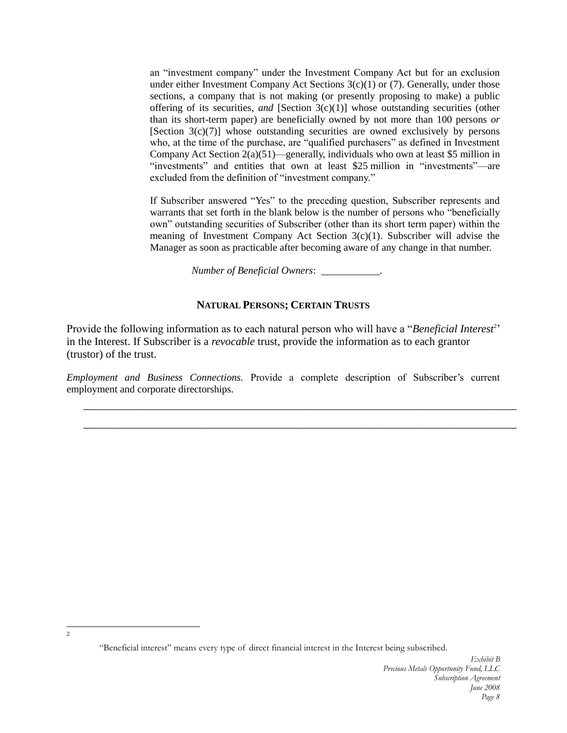an "investment company" under the Investment Company Act but for an exclusion under either Investment Company Act Sections  $3(c)(1)$  or (7). Generally, under those sections, a company that is not making (or presently proposing to make) a public offering of its securities, *and* [Section 3(c)(1)] whose outstanding securities (other than its short-term paper) are beneficially owned by not more than 100 persons *or* [Section 3(c)(7)] whose outstanding securities are owned exclusively by persons who, at the time of the purchase, are "qualified purchasers" as defined in Investment Company Act Section  $2(a)(51)$ —generally, individuals who own at least \$5 million in "investments" and entities that own at least \$25 million in "investments"—are excluded from the definition of "investment company."

If Subscriber answered "Yes" to the preceding question, Subscriber represents and warrants that set forth in the blank below is the number of persons who "beneficially own" outstanding securities of Subscriber (other than its short term paper) within the meaning of Investment Company Act Section 3(c)(1). Subscriber will advise the Manager as soon as practicable after becoming aware of any change in that number.

*Number of Beneficial Owners:* 

# **NATURAL PERSONS; CERTAIN TRUSTS**

Provide the following information as to each natural person who will have a "*Beneficial Interest*<sup>2</sup>" in the Interest. If Subscriber is a *revocable* trust, provide the information as to each grantor (trustor) of the trust.

*Employment and Business Connections.* Provide a complete description of Subscriber's current employment and corporate directorships.

\_\_\_\_\_\_\_\_\_\_\_\_\_\_\_\_\_\_\_\_\_\_\_\_\_\_\_\_\_\_\_\_\_\_\_\_\_\_\_\_\_\_\_\_\_\_\_\_\_\_\_\_\_\_\_\_\_\_\_\_\_\_\_\_\_\_\_\_\_\_\_\_\_\_\_\_\_\_

\_\_\_\_\_\_\_\_\_\_\_\_\_\_\_\_\_\_\_\_\_\_\_\_\_\_\_\_\_\_\_\_\_\_\_\_\_\_\_\_\_\_\_\_\_\_\_\_\_\_\_\_\_\_\_\_\_\_\_\_\_\_\_\_\_\_\_\_\_\_\_\_\_\_\_\_\_\_

"Beneficial interest" means every type of direct financial interest in the Interest being subscribed.

 $\frac{1}{2}$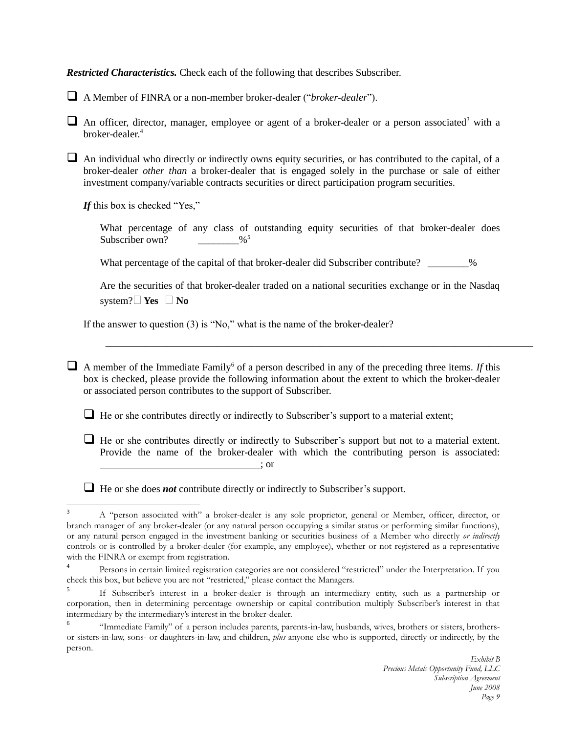*Restricted Characteristics.* Check each of the following that describes Subscriber.

| A Member of FINRA or a non-member broker-dealer ("broker-dealer"). |  |
|--------------------------------------------------------------------|--|
|--------------------------------------------------------------------|--|

- $\Box$  An officer, director, manager, employee or agent of a broker-dealer or a person associated<sup>3</sup> with a broker-dealer.<sup>4</sup>
- $\Box$  An individual who directly or indirectly owns equity securities, or has contributed to the capital, of a broker-dealer *other than* a broker-dealer that is engaged solely in the purchase or sale of either investment company/variable contracts securities or direct participation program securities.

*If* this box is checked "Yes,"

What percentage of any class of outstanding equity securities of that broker-dealer does Subscriber own? Subscriber own?

What percentage of the capital of that broker-dealer did Subscriber contribute? \_\_\_\_\_\_\_\_%

Are the securities of that broker-dealer traded on a national securities exchange or in the Nasdaq system? **Yes No** 

\_\_\_\_\_\_\_\_\_\_\_\_\_\_\_\_\_\_\_\_\_\_\_\_\_\_\_\_\_\_\_\_\_\_\_\_\_\_\_\_\_\_\_\_\_\_\_\_\_\_\_\_\_\_\_\_\_\_\_\_\_\_\_\_\_\_\_\_\_\_\_\_\_\_\_\_\_

If the answer to question (3) is "No," what is the name of the broker-dealer?

 $\Box$  A member of the Immediate Family<sup>6</sup> of a person described in any of the preceding three items. If this box is checked, please provide the following information about the extent to which the broker-dealer or associated person contributes to the support of Subscriber.

 $\Box$  He or she contributes directly or indirectly to Subscriber's support to a material extent;

 $\Box$  He or she contributes directly or indirectly to Subscriber's support but not to a material extent. Provide the name of the broker-dealer with which the contributing person is associated: ; or

 $\Box$  He or she does *not* contribute directly or indirectly to Subscriber's support.

 $\overline{3}$ <sup>3</sup> A "person associated with" a broker-dealer is any sole proprietor, general or Member, officer, director, or branch manager of any broker-dealer (or any natural person occupying a similar status or performing similar functions), or any natural person engaged in the investment banking or securities business of a Member who directly *or indirectly* controls or is controlled by a broker-dealer (for example, any employee), whether or not registered as a representative with the FINRA or exempt from registration.

<sup>4</sup> Persons in certain limited registration categories are not considered "restricted" under the Interpretation. If you check this box, but believe you are not "restricted," please contact the Managers.

<sup>5</sup> If Subscriber's interest in a broker-dealer is through an intermediary entity, such as a partnership or corporation, then in determining percentage ownership or capital contribution multiply Subscriber's interest in that intermediary by the intermediary's interest in the broker-dealer.

<sup>6</sup> "Immediate Family" of a person includes parents, parents-in-law, husbands, wives, brothers or sisters, brothersor sisters-in-law, sons- or daughters-in-law, and children, *plus* anyone else who is supported, directly or indirectly, by the person.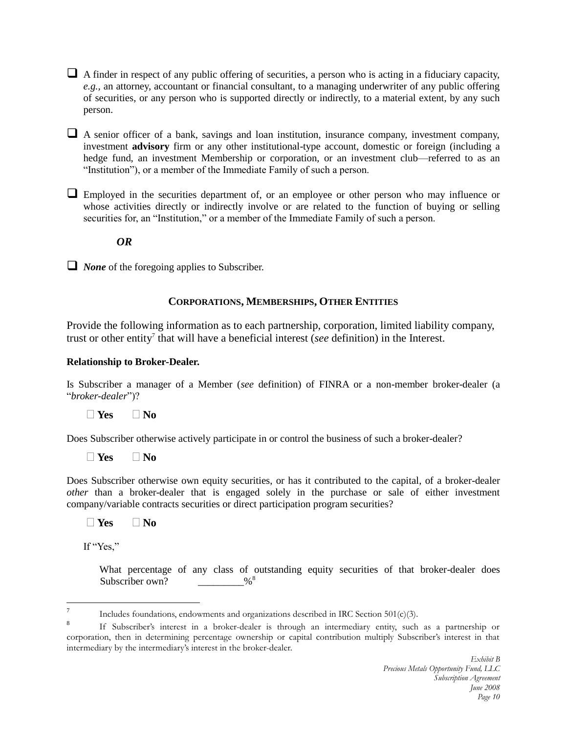$\Box$  A finder in respect of any public offering of securities, a person who is acting in a fiduciary capacity, *e.g.,* an attorney, accountant or financial consultant, to a managing underwriter of any public offering of securities, or any person who is supported directly or indirectly, to a material extent, by any such person.

 A senior officer of a bank, savings and loan institution, insurance company, investment company, investment **advisory** firm or any other institutional-type account, domestic or foreign (including a hedge fund, an investment Membership or corporation, or an investment club—referred to as an "Institution"), or a member of the Immediate Family of such a person.

 Employed in the securities department of, or an employee or other person who may influence or whose activities directly or indirectly involve or are related to the function of buying or selling securities for, an "Institution," or a member of the Immediate Family of such a person.

*OR*

*None* of the foregoing applies to Subscriber.

### **CORPORATIONS, MEMBERSHIPS, OTHER ENTITIES**

Provide the following information as to each partnership, corporation, limited liability company, trust or other entity<sup>7</sup> that will have a beneficial interest (*see* definition) in the Interest.

### **Relationship to Broker-Dealer.**

Is Subscriber a manager of a Member (*see* definition) of FINRA or a non-member broker-dealer (a "*broker-dealer*")?

 $\Box$  **Yes**  $\Box$  **No** 

Does Subscriber otherwise actively participate in or control the business of such a broker-dealer?

 $\Box$  **Yes**  $\Box$  **No** 

Does Subscriber otherwise own equity securities, or has it contributed to the capital, of a broker-dealer *other* than a broker-dealer that is engaged solely in the purchase or sale of either investment company/variable contracts securities or direct participation program securities?

 $\Box$  **Yes**  $\Box$  **No** 

If "Yes,"

What percentage of any class of outstanding equity securities of that broker-dealer does Subscriber own?  $\frac{\%}{8}$ Subscriber own?

<sup>-&</sup>lt;br>7 Includes foundations, endowments and organizations described in IRC Section 501(c)(3).

<sup>8</sup> If Subscriber's interest in a broker-dealer is through an intermediary entity, such as a partnership or corporation, then in determining percentage ownership or capital contribution multiply Subscriber's interest in that intermediary by the intermediary's interest in the broker-dealer.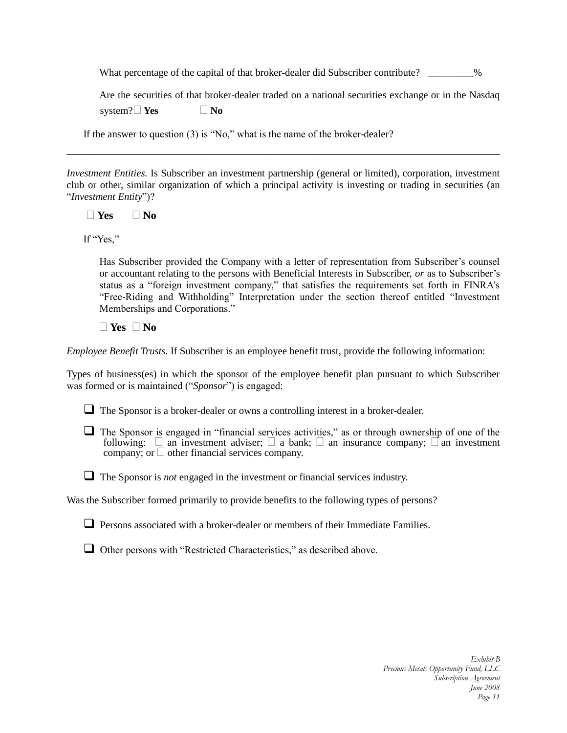What percentage of the capital of that broker-dealer did Subscriber contribute?  $\%$ 

|                       |           | Are the securities of that broker-dealer traded on a national securities exchange or in the Nasdaq |  |
|-----------------------|-----------|----------------------------------------------------------------------------------------------------|--|
| system? $\square$ Yes | $\Box$ No |                                                                                                    |  |

If the answer to question (3) is "No," what is the name of the broker-dealer?

*Investment Entities.* Is Subscriber an investment partnership (general or limited), corporation, investment club or other, similar organization of which a principal activity is investing or trading in securities (an "*Investment Entity*")?

\_\_\_\_\_\_\_\_\_\_\_\_\_\_\_\_\_\_\_\_\_\_\_\_\_\_\_\_\_\_\_\_\_\_\_\_\_\_\_\_\_\_\_\_\_\_\_\_\_\_\_\_\_\_\_\_\_\_\_\_\_\_\_\_\_\_\_\_\_\_\_\_\_\_\_\_\_\_

 $\Box$  **Yes**  $\Box$  **No** 

If "Yes,"

Has Subscriber provided the Company with a letter of representation from Subscriber's counsel or accountant relating to the persons with Beneficial Interests in Subscriber, *or* as to Subscriber's status as a "foreign investment company," that satisfies the requirements set forth in FINRA's "Free-Riding and Withholding" Interpretation under the section thereof entitled "Investment Memberships and Corporations."

 $\Box$  **Yes**  $\Box$  **No** 

*Employee Benefit Trusts.* If Subscriber is an employee benefit trust, provide the following information:

Types of business(es) in which the sponsor of the employee benefit plan pursuant to which Subscriber was formed or is maintained ("*Sponsor*") is engaged:

 $\Box$  The Sponsor is a broker-dealer or owns a controlling interest in a broker-dealer.

 $\Box$  The Sponsor is engaged in "financial services activities," as or through ownership of one of the following:  $\Box$  an investment adviser;  $\Box$  a bank;  $\Box$  an insurance company;  $\Box$  an investment company; or  $\Box$  other financial services company.

The Sponsor is *not* engaged in the investment or financial services industry.

Was the Subscriber formed primarily to provide benefits to the following types of persons?

 $\Box$  Persons associated with a broker-dealer or members of their Immediate Families.

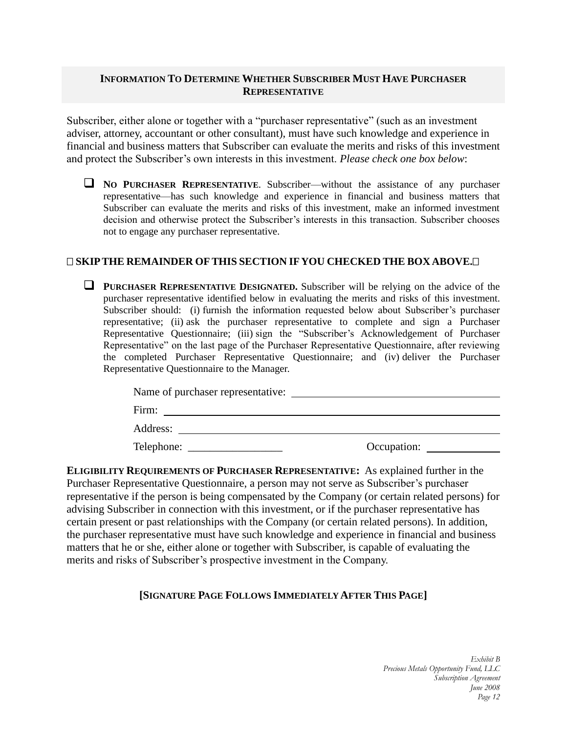# **INFORMATION TO DETERMINE WHETHER SUBSCRIBER MUST HAVE PURCHASER REPRESENTATIVE**

Subscriber, either alone or together with a "purchaser representative" (such as an investment adviser, attorney, accountant or other consultant), must have such knowledge and experience in financial and business matters that Subscriber can evaluate the merits and risks of this investment and protect the Subscriber's own interests in this investment. *Please check one box below*:

**NO PURCHASER REPRESENTATIVE.** Subscriber—without the assistance of any purchaser representative—has such knowledge and experience in financial and business matters that Subscriber can evaluate the merits and risks of this investment, make an informed investment decision and otherwise protect the Subscriber's interests in this transaction. Subscriber chooses not to engage any purchaser representative.

# **SKIPTHE REMAINDER OFTHIS SECTION IFYOU CHECKED THE BOX ABOVE.**

**PURCHASER REPRESENTATIVE DESIGNATED.** Subscriber will be relying on the advice of the purchaser representative identified below in evaluating the merits and risks of this investment. Subscriber should: (i) furnish the information requested below about Subscriber's purchaser representative; (ii) ask the purchaser representative to complete and sign a Purchaser Representative Questionnaire; (iii) sign the "Subscriber's Acknowledgement of Purchaser Representative" on the last page of the Purchaser Representative Questionnaire, after reviewing the completed Purchaser Representative Questionnaire; and (iv) deliver the Purchaser Representative Questionnaire to the Manager.

| Name of purchaser representative: |             |
|-----------------------------------|-------------|
| Firm:                             |             |
| Address:                          |             |
| Telephone:                        | Occupation: |

**ELIGIBILITY REQUIREMENTS OF PURCHASER REPRESENTATIVE:** As explained further in the Purchaser Representative Questionnaire, a person may not serve as Subscriber's purchaser representative if the person is being compensated by the Company (or certain related persons) for advising Subscriber in connection with this investment, or if the purchaser representative has certain present or past relationships with the Company (or certain related persons). In addition, the purchaser representative must have such knowledge and experience in financial and business matters that he or she, either alone or together with Subscriber, is capable of evaluating the merits and risks of Subscriber's prospective investment in the Company.

# **[SIGNATURE PAGE FOLLOWS IMMEDIATELY AFTER THIS PAGE]**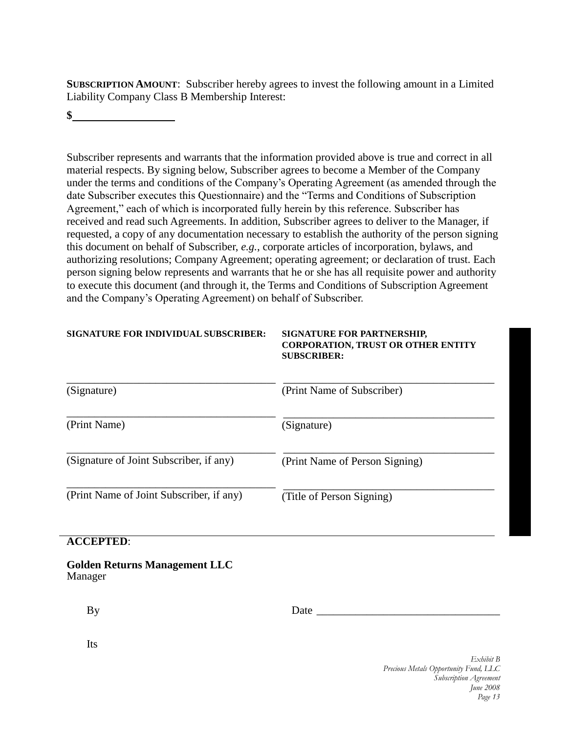**SUBSCRIPTION AMOUNT**: Subscriber hereby agrees to invest the following amount in a Limited Liability Company Class B Membership Interest:

**\$** 

Subscriber represents and warrants that the information provided above is true and correct in all material respects. By signing below, Subscriber agrees to become a Member of the Company under the terms and conditions of the Company's Operating Agreement (as amended through the date Subscriber executes this Questionnaire) and the "Terms and Conditions of Subscription Agreement," each of which is incorporated fully herein by this reference. Subscriber has received and read such Agreements. In addition, Subscriber agrees to deliver to the Manager, if requested, a copy of any documentation necessary to establish the authority of the person signing this document on behalf of Subscriber, *e.g.*, corporate articles of incorporation, bylaws, and authorizing resolutions; Company Agreement; operating agreement; or declaration of trust. Each person signing below represents and warrants that he or she has all requisite power and authority to execute this document (and through it, the Terms and Conditions of Subscription Agreement and the Company's Operating Agreement) on behalf of Subscriber.

## **SIGNATURE FOR INDIVIDUAL SUBSCRIBER:**

#### **SIGNATURE FOR PARTNERSHIP, CORPORATION, TRUST OR OTHER ENTITY SUBSCRIBER:**

| (Signature)                              | (Print Name of Subscriber)     |
|------------------------------------------|--------------------------------|
| (Print Name)                             | (Signature)                    |
| (Signature of Joint Subscriber, if any)  | (Print Name of Person Signing) |
| (Print Name of Joint Subscriber, if any) | (Title of Person Signing)      |

# **ACCEPTED**:

|         | <b>Golden Returns Management LLC</b> |
|---------|--------------------------------------|
| Manager |                                      |

By Date Learning and Date Learning and Date Learning and Date Learning and Date Learning and Date Learning and D

Its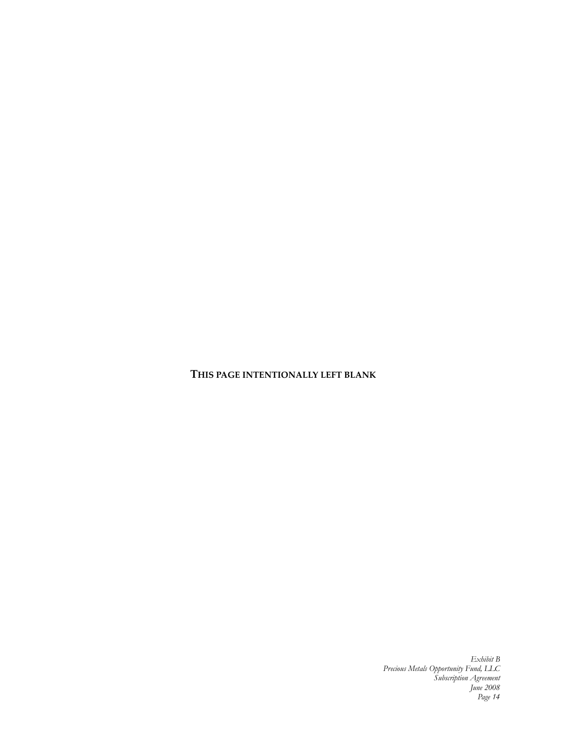# **THIS PAGE INTENTIONALLY LEFT BLANK**

{00527449 / 6}{00527449 *Exhibit B Precious Metals Opportunity Fund, LLC Subscription Agreement June 2008 Page 14*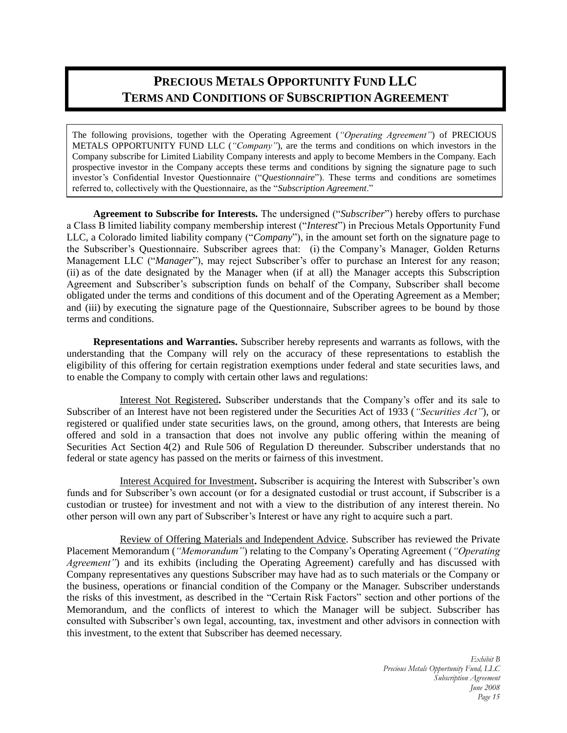# **PRECIOUS METALS OPPORTUNITY FUND LLC TERMS AND CONDITIONS OF SUBSCRIPTION AGREEMENT**

The following provisions, together with the Operating Agreement (*"Operating Agreement"*) of PRECIOUS METALS OPPORTUNITY FUND LLC (*"Company"*), are the terms and conditions on which investors in the Company subscribe for Limited Liability Company interests and apply to become Members in the Company. Each prospective investor in the Company accepts these terms and conditions by signing the signature page to such investor's Confidential Investor Questionnaire ("*Questionnaire*"). These terms and conditions are sometimes referred to, collectively with the Questionnaire, as the "*Subscription Agreement*."

**Agreement to Subscribe for Interests.** The undersigned ("*Subscriber*") hereby offers to purchase a Class B limited liability company membership interest ("*Interest*") in Precious Metals Opportunity Fund LLC, a Colorado limited liability company ("*Company*"), in the amount set forth on the signature page to the Subscriber's Questionnaire. Subscriber agrees that: (i) the Company's Manager, Golden Returns Management LLC ("*Manager*"), may reject Subscriber's offer to purchase an Interest for any reason; (ii) as of the date designated by the Manager when (if at all) the Manager accepts this Subscription Agreement and Subscriber's subscription funds on behalf of the Company, Subscriber shall become obligated under the terms and conditions of this document and of the Operating Agreement as a Member; and (iii) by executing the signature page of the Questionnaire, Subscriber agrees to be bound by those terms and conditions.

**Representations and Warranties.** Subscriber hereby represents and warrants as follows, with the understanding that the Company will rely on the accuracy of these representations to establish the eligibility of this offering for certain registration exemptions under federal and state securities laws, and to enable the Company to comply with certain other laws and regulations:

Interest Not Registered**.** Subscriber understands that the Company's offer and its sale to Subscriber of an Interest have not been registered under the Securities Act of 1933 (*"Securities Act"*), or registered or qualified under state securities laws, on the ground, among others, that Interests are being offered and sold in a transaction that does not involve any public offering within the meaning of Securities Act Section 4(2) and Rule 506 of Regulation D thereunder. Subscriber understands that no federal or state agency has passed on the merits or fairness of this investment.

Interest Acquired for Investment**.** Subscriber is acquiring the Interest with Subscriber's own funds and for Subscriber's own account (or for a designated custodial or trust account, if Subscriber is a custodian or trustee) for investment and not with a view to the distribution of any interest therein. No other person will own any part of Subscriber's Interest or have any right to acquire such a part.

Review of Offering Materials and Independent Advice. Subscriber has reviewed the Private Placement Memorandum (*"Memorandum"*) relating to the Company's Operating Agreement (*"Operating Agreement"*) and its exhibits (including the Operating Agreement) carefully and has discussed with Company representatives any questions Subscriber may have had as to such materials or the Company or the business, operations or financial condition of the Company or the Manager. Subscriber understands the risks of this investment, as described in the "Certain Risk Factors" section and other portions of the Memorandum, and the conflicts of interest to which the Manager will be subject. Subscriber has consulted with Subscriber's own legal, accounting, tax, investment and other advisors in connection with this investment, to the extent that Subscriber has deemed necessary.

> $$ *Precious Metals Opportunity Fund, LLC Subscription Agreement June 2008 Page 15*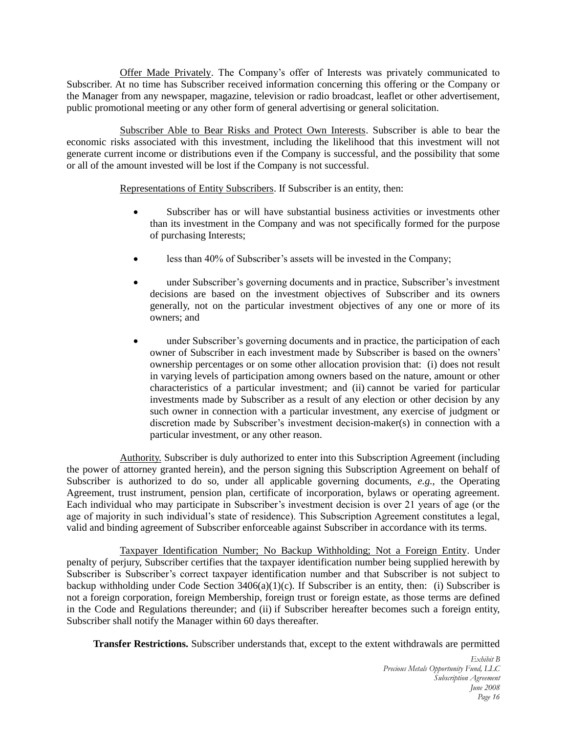Offer Made Privately. The Company's offer of Interests was privately communicated to Subscriber. At no time has Subscriber received information concerning this offering or the Company or the Manager from any newspaper, magazine, television or radio broadcast, leaflet or other advertisement, public promotional meeting or any other form of general advertising or general solicitation.

Subscriber Able to Bear Risks and Protect Own Interests. Subscriber is able to bear the economic risks associated with this investment, including the likelihood that this investment will not generate current income or distributions even if the Company is successful, and the possibility that some or all of the amount invested will be lost if the Company is not successful.

Representations of Entity Subscribers. If Subscriber is an entity, then:

- Subscriber has or will have substantial business activities or investments other than its investment in the Company and was not specifically formed for the purpose of purchasing Interests;
- less than 40% of Subscriber's assets will be invested in the Company;
- under Subscriber's governing documents and in practice, Subscriber's investment decisions are based on the investment objectives of Subscriber and its owners generally, not on the particular investment objectives of any one or more of its owners; and
- under Subscriber's governing documents and in practice, the participation of each owner of Subscriber in each investment made by Subscriber is based on the owners' ownership percentages or on some other allocation provision that: (i) does not result in varying levels of participation among owners based on the nature, amount or other characteristics of a particular investment; and (ii) cannot be varied for particular investments made by Subscriber as a result of any election or other decision by any such owner in connection with a particular investment, any exercise of judgment or discretion made by Subscriber's investment decision-maker(s) in connection with a particular investment, or any other reason.

Authority. Subscriber is duly authorized to enter into this Subscription Agreement (including the power of attorney granted herein), and the person signing this Subscription Agreement on behalf of Subscriber is authorized to do so, under all applicable governing documents, *e.g.*, the Operating Agreement, trust instrument, pension plan, certificate of incorporation, bylaws or operating agreement. Each individual who may participate in Subscriber's investment decision is over 21 years of age (or the age of majority in such individual's state of residence). This Subscription Agreement constitutes a legal, valid and binding agreement of Subscriber enforceable against Subscriber in accordance with its terms.

Taxpayer Identification Number; No Backup Withholding; Not a Foreign Entity. Under penalty of perjury, Subscriber certifies that the taxpayer identification number being supplied herewith by Subscriber is Subscriber's correct taxpayer identification number and that Subscriber is not subject to backup withholding under Code Section  $3406(a)(1)(c)$ . If Subscriber is an entity, then: (i) Subscriber is not a foreign corporation, foreign Membership, foreign trust or foreign estate, as those terms are defined in the Code and Regulations thereunder; and (ii) if Subscriber hereafter becomes such a foreign entity, Subscriber shall notify the Manager within 60 days thereafter.

**Transfer Restrictions.** Subscriber understands that, except to the extent withdrawals are permitted